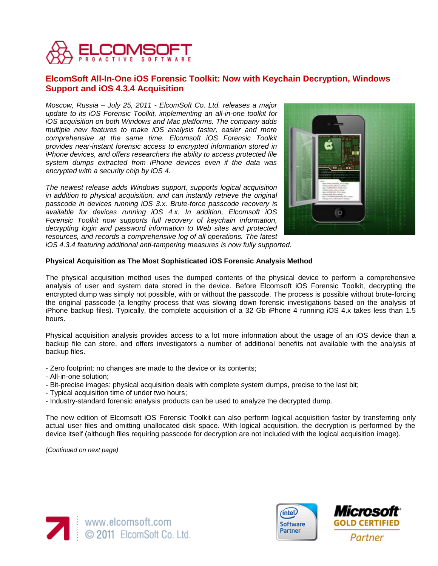

# **ElcomSoft All-In-One iOS Forensic Toolkit: Now with Keychain Decryption, Windows Support and iOS 4.3.4 Acquisition**

*Moscow, Russia – July 25, 2011 - ElcomSoft Co. Ltd. releases a major update to its iOS Forensic Toolkit, implementing an all-in-one toolkit for iOS acquisition on both Windows and Mac platforms. The company adds multiple new features to make iOS analysis faster, easier and more comprehensive at the same time. Elcomsoft iOS Forensic Toolkit provides near-instant forensic access to encrypted information stored in iPhone devices, and offers researchers the ability to access protected file system dumps extracted from iPhone devices even if the data was encrypted with a security chip by iOS 4.*

*The newest release adds Windows support, supports logical acquisition in addition to physical acquisition, and can instantly retrieve the original passcode in devices running iOS 3.x. Brute-force passcode recovery is available for devices running iOS 4.x. In addition, Elcomsoft iOS Forensic Toolkit now supports full recovery of keychain information, decrypting login and password information to Web sites and protected resources, and records a comprehensive log of all operations. The latest* 



*iOS 4.3.4 featuring additional anti-tampering measures is now fully supported*.

### **Physical Acquisition as The Most Sophisticated iOS Forensic Analysis Method**

The physical acquisition method uses the dumped contents of the physical device to perform a comprehensive analysis of user and system data stored in the device. Before Elcomsoft iOS Forensic Toolkit, decrypting the encrypted dump was simply not possible, with or without the passcode. The process is possible without brute-forcing the original passcode (a lengthy process that was slowing down forensic investigations based on the analysis of iPhone backup files). Typically, the complete acquisition of a 32 Gb iPhone 4 running iOS 4.x takes less than 1.5 hours.

Physical acquisition analysis provides access to a lot more information about the usage of an iOS device than a backup file can store, and offers investigators a number of additional benefits not available with the analysis of backup files.

- Zero footprint: no changes are made to the device or its contents;
- All-in-one solution;
- Bit-precise images: physical acquisition deals with complete system dumps, precise to the last bit;
- Typical acquisition time of under two hours;
- Industry-standard forensic analysis products can be used to analyze the decrypted dump.

The new edition of Elcomsoft iOS Forensic Toolkit can also perform logical acquisition faster by transferring only actual user files and omitting unallocated disk space. With logical acquisition, the decryption is performed by the device itself (although files requiring passcode for decryption are not included with the logical acquisition image).

*(Continued on next page)*